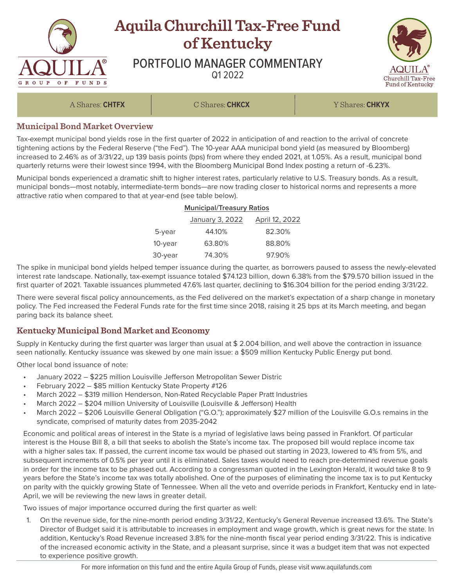

## **Municipal Bond Market Overview**

Tax-exempt municipal bond yields rose in the first quarter of 2022 in anticipation of and reaction to the arrival of concrete tightening actions by the Federal Reserve ("the Fed"). The 10-year AAA municipal bond yield (as measured by Bloomberg) increased to 2.46% as of 3/31/22, up 139 basis points (bps) from where they ended 2021, at 1.05%. As a result, municipal bond quarterly returns were their lowest since 1994, with the Bloomberg Municipal Bond Index posting a return of -6.23%.

Municipal bonds experienced a dramatic shift to higher interest rates, particularly relative to U.S. Treasury bonds. As a result, municipal bonds—most notably, intermediate-term bonds—are now trading closer to historical norms and represents a more attractive ratio when compared to that at year-end (see table below).

## **Municipal/Treasury Ratios**

|         | January 3, 2022 | April 12, 2022 |
|---------|-----------------|----------------|
| 5-year  | 44.10%          | 82.30%         |
| 10-year | 63.80%          | 88.80%         |
| 30-year | 74.30%          | 97.90%         |

The spike in municipal bond yields helped temper issuance during the quarter, as borrowers paused to assess the newly-elevated interest rate landscape. Nationally, tax-exempt issuance totaled \$74.123 billion, down 6.38% from the \$79.570 billion issued in the first quarter of 2021. Taxable issuances plummeted 47.6% last quarter, declining to \$16.304 billion for the period ending 3/31/22.

There were several fiscal policy announcements, as the Fed delivered on the market's expectation of a sharp change in monetary policy. The Fed increased the Federal Funds rate for the first time since 2018, raising it 25 bps at its March meeting, and began paring back its balance sheet.

## **Kentucky Municipal Bond Market and Economy**

Supply in Kentucky during the first quarter was larger than usual at \$ 2.004 billion, and well above the contraction in issuance seen nationally. Kentucky issuance was skewed by one main issue: a \$509 million Kentucky Public Energy put bond.

Other local bond issuance of note:

- January 2022 \$225 million Louisville Jefferson Metropolitan Sewer Distric
- February 2022 \$85 million Kentucky State Property #126
- March 2022 \$319 million Henderson, Non-Rated Recyclable Paper Pratt Industries
- March 2022 \$204 million University of Louisville (Louisville & Jefferson) Health
- March 2022 \$206 Louisville General Obligation ("G.O."); approximately \$27 million of the Louisville G.O.s remains in the syndicate, comprised of maturity dates from 2035-2042

Economic and political areas of interest in the State is a myriad of legislative laws being passed in Frankfort. Of particular interest is the House Bill 8, a bill that seeks to abolish the State's income tax. The proposed bill would replace income tax with a higher sales tax. If passed, the current income tax would be phased out starting in 2023, lowered to 4% from 5%, and subsequent increments of 0.5% per year until it is eliminated. Sales taxes would need to reach pre-determined revenue goals in order for the income tax to be phased out. According to a congressman quoted in the Lexington Herald, it would take 8 to 9 years before the State's income tax was totally abolished. One of the purposes of eliminating the income tax is to put Kentucky on parity with the quickly growing State of Tennessee. When all the veto and override periods in Frankfort, Kentucky end in late-April, we will be reviewing the new laws in greater detail.

Two issues of major importance occurred during the first quarter as well:

1. On the revenue side, for the nine-month period ending 3/31/22, Kentucky's General Revenue increased 13.6%. The State's Director of Budget said it is attributable to increases in employment and wage growth, which is great news for the state. In addition, Kentucky's Road Revenue increased 3.8% for the nine-month fiscal year period ending 3/31/22. This is indicative of the increased economic activity in the State, and a pleasant surprise, since it was a budget item that was not expected to experience positive growth.